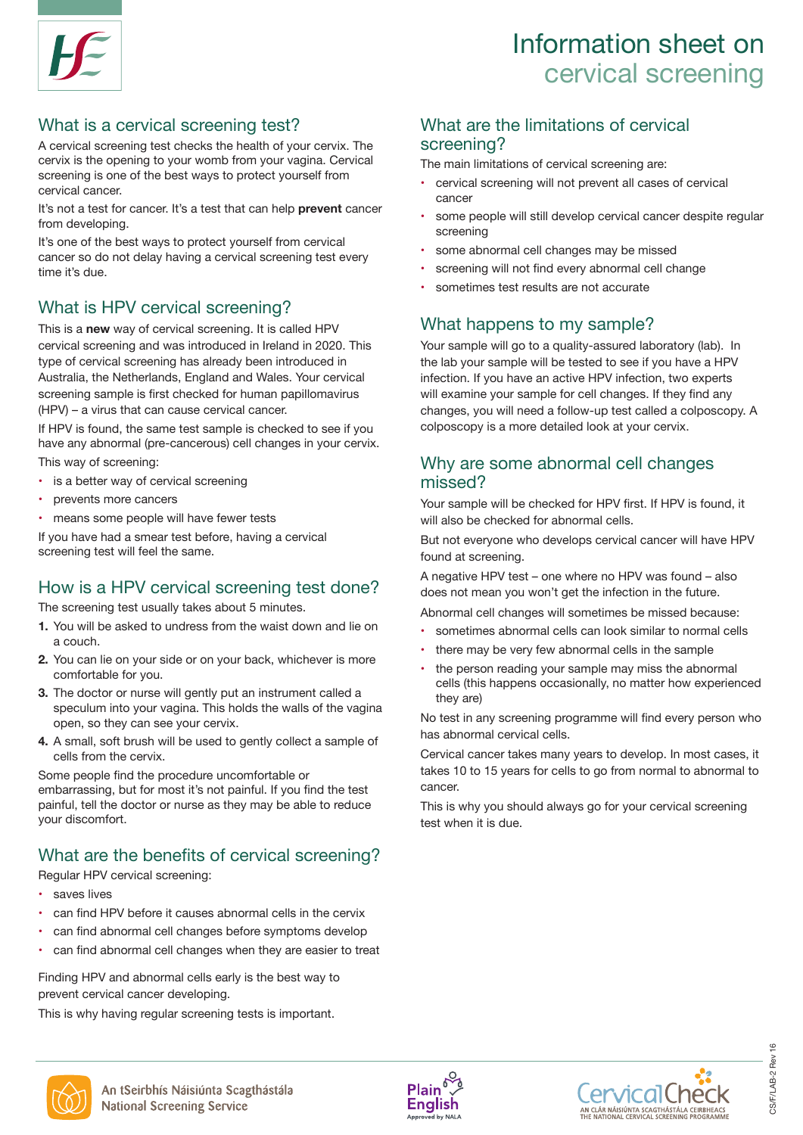### Information sheet on Information sheet on cervical Information sheet on cervical screening

## What is a cervical screening test? What is a cervical screening test?

A cervical screening test checks the health of your cervix. The consistent of your cervical screening test? cervix is the opening to your womb from your vagina. Cervical screening is one of the best ways to protect yourself from cervical cancer. The cervical cancer.

It's not a test for cancer. It's a test that can help **prevent** cancer It's not a test for cancer. It's a test that can help prevent from developing. The best ways to protect yourself from cervical cancer. It's not a test for cancer. It's a test that can help **prevent** cancer

It's one of the best ways to protect yourself from cervical cancer so do not delay having a cervical screening test every time it's due.

## What is HPV cervical screening?

This is a **new** way of cervical screening. It is called HPV This is a new way of cervical screening. It is called HPV cervical screening and was introduced in Ireland in 2020. This type of cervical screening has already been introduced in Australia, the Netherlands, England and Wales. Your cervical screening sample is first checked for human papillomavirus the completed of the contract of the manner prepared.<br>(HPV) – a virus that can cause cervical cancer. This is a **new** way of cervical screening. It is called HP (HPV) - a virus that can cause cervical cancer.

If HPV is found, the same test sample is checked to see if you have any abnormal (pre-cancerous) cell changes in your cervix. This way of screening:

- is a better way of cervical screening  $\cdot$  is a before way of cervical screening  $\frac{1}{2}$  if  $\frac{1}{2}$  is above any above any above any above any above  $\frac{1}{2}$  is a concerning in  $\frac{1}{2}$  if  $\frac{1}{2}$  is a concerning in  $\frac{1}{2}$  is a concerning in  $\frac{1}{2}$  is a concerning in  $\frac{1}{2}$  is a conce ca better<br>.
- prevents more cancers
- means some people will have fewer tests

If you have had a smear test before, having a cervical screening test will feel the same.

### How is a HPV cervical screening test done? How is a HPV cervical s

The screening test usually takes about 5 minutes.

- **1.** You will be asked to undress from the waist down and lie on a couch. 1. You will be asked to undress from the waist down and lie on  $\alpha$  specific values the walls of the walls of the walls of the walls of the walls of the walls of the walls of the walls of the walls of the walls of the walls of the walls of the walls of the walls of the walls of the w a couch. The screening takes about 5 minutes as  $\alpha$
- **2.** You can lie on your side or on your back, whichever is more comfortable for you. You can lie on your side or on your back, whichever is more
- **3.** The doctor or nurse will gently put an instrument called a speculum into your vagina. This holds the walls of the vagina opediation into your taginal this notas the walls of open, so they can see your cervix. open, so they can see your cervix.
- **4.** A small, soft brush will be used to gently collect a sample of cells from the cervix. This holds the walls of the walls from the cervix.

Some people find the procedure uncomfortable or embarrassing, but for most it's not painful. If you find the test painful, tell the doctor or nurse as they may be able to reduce your discomfort.  $\epsilon$ <sub>t</sub>o cancer.

### What are the benefits of cervical screening? What are the benefits of cervical screening?

Regular HPV cervical screening:

- saves lives
- can find HPV before it causes abnormal cells in the cervix
- can find abnormal cell changes before symptoms develop
- can find abnormal cell changes when they are easier to treat can find abnormal cell changes when they are easier to

Finding HPV and abnormal cells early is the best way to prevent cervical cancer developing.

.<br>This is why having regular screening tests is important. • can find about the manning cellular concerning tools to important.

## What are the limitations of cervical The screening?

The main limitations of cervical screening are: me the concoming tests in the main limitations of cervical screening.

- $\cdot$  cervical screening will not prevent all cases of cervical cancer
- ancer some people will still develop cervical cancer despite regular screening screening? screening will not prevent all cases of cervical cases of cervical cases of cervical cases of cervical cases of cervical cases of cervical cases of cervical cases of cervical cases of cervical cases of cervical cases of ce
	- some abnormal cell changes may be missed
- ery example abnormal cell change may be medded<br>• screening will not find every abnormal cell change regular screening over  $\sim$  screening will not find every abiturnial cell change
- sometimes test results are not accurate

## What happens to my sample?

This **Face Complexianal Your sample** will go to a quality-assured laboratory (lab). In the lab your sample will be tested to see if you have a HPV results and the labe of the labe of the labe tested to see infection. If you have an active HPV infection, two experts is examine your sample for cell changes. If they find any changes, you will need a follow-up test called a colposcopy. A you colposcopy is a more detailed look at your cervix. a colposcopy. A colposcopy is a more detailed look at

## Why are some abnormal cell changes missed? Why are some about sample for cell changes will examine your sample for cell changes. If they are some  $\sim$

Your sample will be checked for HPV first. If HPV is found, it will also be checked for abnormal cells. Four sample will be checked for FIF v first. If FIF v is four!

But not everyone who develops cervical cancer will have HPV found at screening.<br>
HPV found at screening. But not everyone who develops cervical

A negative HPV test – one where no HPV was found – also<br>
Re? does not mean you won't get the infection in the future  $n e$ ? does not mean you won't get the infection in the future.

Abnormal cell changes will sometimes be missed because: • sometimes abnormal cells can look similar to normal cells.

- SUITENTIES ADITORITAL CERS CAN TOOK SITHIAL LOTTONITAL C
- there may be very few abnormal cells in the sample
- the person reading your sample may miss the abnormal ells (this happens occasionally, no matter how experienced  $\sim$  they are) future.

ina<br>No test in any screening programme will find every person who has abnormal cervical cells.<br>Die of

ervical cancer takes many years to develop. In most cases, it takes 10 to 15 years for cells to go from normal to abnormal to est cancer. example. The very few ability few ability few ability few ability few ability few ability few ability few ability few ability few ability few ability few ability few ability few ability few ability few ability few ability

This is why you should always go for your cervical screening This is why you should always go for your cervical • the person reading your sample may miss the abnormal the test when it is due.<br>test when it is due. toot when it is due.





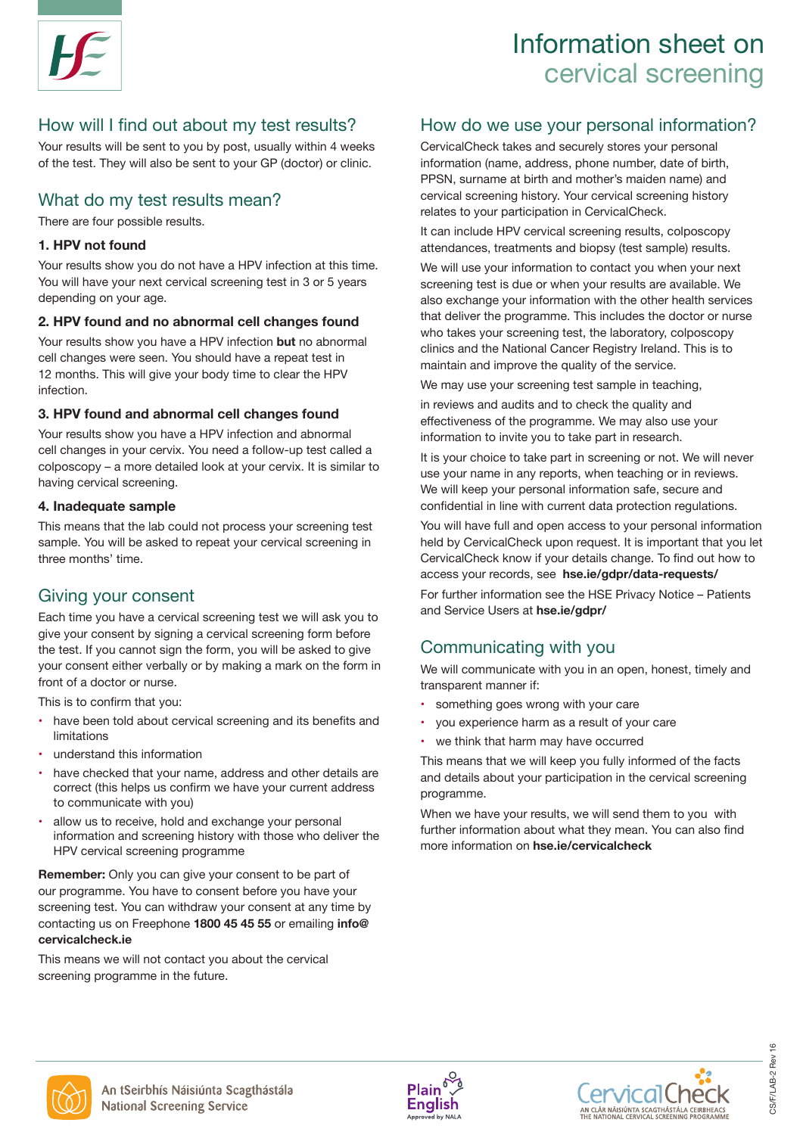### Information sheet on Information sheet on cervical Information sheet on cervical screening

## How will I find out about my test results?

Your results will be sent to you by post, usually within 4 weeks of the test. They will also be sent to your GP (doctor) or clinic. Cervical screening is one of the best ways to protect A checks the test checks the health of your cervical process of service.

#### What do my test results mean? What do my test results mean?  $T_{\rm eff}$  is the opening to your variable from your variable from your variable from your variable from your variable from your variable from your variable from your variable from your variable from your variable from your vinat do my test results mean?

There are four possible results. There are four possible results.

### **1. HPV not found** cancer from developing.

Your results show you do not have a HPV infection at this time. You will have your next cervical screening test in 3 or 5 years depending on your age. Your results show you do not have a HPV infection at this fin

### 2. HPV found and no abnormal cell changes found

Your results show you have a HPV infection **but** no abnormal cell changes were seen. You should have a repeat test in 12 months. This will give your body time to clear the HPV infection. This type of cervical screening has already been introduced to see the see of cervical screening has already been introduced introduced introduced introduced introduced introduced introduced introduced introduce Your results show you have a HPV infection but no at

#### **3. HPV found and abnormal cell changes found**  if you have any ability  $\mathcal{O}(p^2)$  cell changes in  $\mathcal{O}(p^2)$ 3. HPV found and abnormal cell changes found

Service is considered above that we changed found<br>Your results show you have a HPV infection and abnormal cell changes in your cervix. You need a follow-up test called a colposcopy – a more detailed look at your cervix. It is similar to having cervical screening. coiposcopy – a more detailed look at your cervix. It is similar Your results show you have a HPV infection an

## 4. Inadequate sample

This means that the lab could not process your screening test sample. You will be asked to repeat your cervical screening in  $\ldots$ bampion for minibio abitor to repeat your certified **Example You will be asked to** 

#### Giving your consent 2. You can lie on your side or on your back, whichever is  $\mathbf{s}$  same. The same  $\mathbf{s}$  will feel the same  $\mathbf{s}$

Each time you have a cervical screening test we will ask you to give your consent by signing a cervical screening form before give your consent by signing a cervical selecting form before where the test. If you cannot sight the form, you will be asked to give<br>your consent either verbally or by making a mark on the form in front of a doctor or nurse.  $\frac{1}{2}$  can be control to the set of  $\frac{1}{2}$ . your concentration verbany or by making a mark on the form lit or a doctor of

This is to confirm that you:

- have been told about cervical screening and its benefits and the doctor contracts as the doctor or nurse as the doctor or nurse as the top of the doctor or nurse as the top of the doctor or nurse as the doctor or nurse as the may be able to do the doctor or nurse as the may be able  $\blacksquare$
- understand this information expective your discommension.<br>  $\blacksquare$
- have checked that your name, address and other details are correct (this helps us confirm we have your current address to communicate with you)
- allow us to receive, hold and exchange your personal information and screening history with those who deliver the HPV cervical screening programme

**Remember:** Only you can give your consent to be part of our programme. You have to consent before you have your screening test. You can withdraw your consent at any time by contacting us on Freephone 1800 45 45 55 or emailing info@ cervicalcheck.ie Remember: Only you can give your consent to be

This means we will not contact you about the cervical screening programme in the future.

## Phow do we use your personal information?

eeks **Cervical Check takes and securely stores your personal** information (name, address, phone number, date of birth, PPSN, surname at birth and mother's maiden name) and cervical screening history. Your cervical screening history relates to your participation in CervicalCheck. eeks CervicalCheck takes and securely stores your personal cells in the best way to be a street way to be a st screening?  $T_{\text{t}}$  matrix to get  $\alpha$  scale screening and  $\alpha$ 

It can include HPV cervical screening results, colposcopy attendances, treatments and biopsy (test sample) results. It can include HPV cervical screening re<br>ettendences, tractments and bionau (to

time. We will use your information to contact you when your next For the will due your information to contact you when your results are available. We screening test is due or when your results are available. We screening rest is due of when your results are available. We<br>also exchange your information with the other health services d<br>
• something that deliver the programme. This includes the doctor or nurse who takes your screening test, the laboratory, colposcopy mal who takes your screening test, the raboratory, corposcopy clinics and the National Cancer Registry Ireland. This is to the same the readoration and the property registry freight. aiso exchange your information with  $\frac{1}{2}$ cancer

manitant and improve the quality of the service.<br>We may use your screening test sample in teaching,

in reviews and audits and to check the quality and effectiveness of the programme. We may also use your enconvences of the programme. We may also dee you.<br>information to invite you to take part in research. HPV infection. If you have an active HPV infection, two in reviews and audits and to check the question  $\mu$ Information to lift to you to take part in robbaron.

It is your choice to take part in screening or not. We will never use your name in any reports, when teaching or in reviews. ase your name in any reports, when teaching or in review<br>We will keep your personal information safe, secure and confidential in line with current data protection regulations. It is your choice to take part in screening or not. We will h we will keep your personal information safe, secure and

test You will have full and open access to your personal information g in held by CervicalCheck upon request. It is important that you let CervicalCheck know if your details change. To find out how to access your records, see hse.ie/gdpr/data-requests/ access you records, see **rise.le/gup/valia-requests/**<br>For further information see the HSE Privacy Notice – Patients test You will have full and ope

and Service Users at **hse.ie/gdpr/**<br>and Service Users at **hse.ie/gdpr/**  $\sum_{i=1}^{n} a_i$ 

### <sub>pive</sub> Communicating with you Gommunicating

Ifm in The We will communicate with you in an open, honest, timely and transparent manner if:

- · something goes wrong with your care  $f(x)$
- you experience harm as a result of your care experience then as a result of your care<br>About care
- we think that harm may have occurred

This means that we will keep you fully informed of the facts s are and details about your participation in the cervical screening<br>ress tess programme. in cans that we will keep you lully • sometimes about the similar to normal cells can look similar to normal cells can look similar to normal cell<br>• The similar to normal cells can look similar to normal cells can look similar to normal cells can look the s cells programme.

When we have your results, we will send them to you with ex the further information about what they mean. You can also find more information on **hse.ie/cervicalcheck**